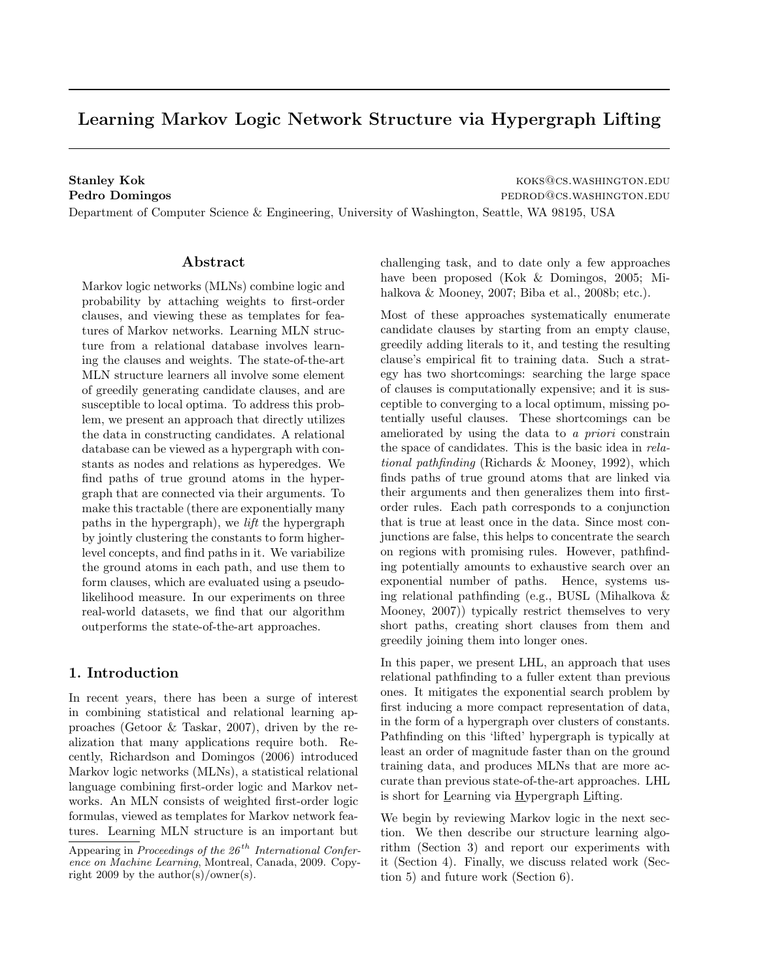# Learning Markov Logic Network Structure via Hypergraph Lifting

Stanley Kok **Kokala Koks (2008)** Koks (2008) Koks (2008) KOKS (2008) KOKS (2008) KOKS (2008) KOKS (2008) KOKS (2008) KOKS (2008) KOKS (2008) KOKS (2008) KOKS (2008) KOKS (2008) KOKS (2008) KOKS (2008) KOKS (2008) KOKS (200 Pedro Domingos **pedro Domingos** pedrodo estas pedrodo estas pedrodo estas pedrodo estas pedrodo estas pedrodo estas pedrodo estas pedrodo estas pedrodo estas pedrodo estas pedrodo estas pedrodo estas pedrodo estas pedrodo

Department of Computer Science & Engineering, University of Washington, Seattle, WA 98195, USA

# Abstract

Markov logic networks (MLNs) combine logic and probability by attaching weights to first-order clauses, and viewing these as templates for features of Markov networks. Learning MLN structure from a relational database involves learning the clauses and weights. The state-of-the-art MLN structure learners all involve some element of greedily generating candidate clauses, and are susceptible to local optima. To address this problem, we present an approach that directly utilizes the data in constructing candidates. A relational database can be viewed as a hypergraph with constants as nodes and relations as hyperedges. We find paths of true ground atoms in the hypergraph that are connected via their arguments. To make this tractable (there are exponentially many paths in the hypergraph), we lift the hypergraph by jointly clustering the constants to form higherlevel concepts, and find paths in it. We variabilize the ground atoms in each path, and use them to form clauses, which are evaluated using a pseudolikelihood measure. In our experiments on three real-world datasets, we find that our algorithm outperforms the state-of-the-art approaches.

# 1. Introduction

In recent years, there has been a surge of interest in combining statistical and relational learning approaches (Getoor & Taskar, 2007), driven by the realization that many applications require both. Recently, Richardson and Domingos (2006) introduced Markov logic networks (MLNs), a statistical relational language combining first-order logic and Markov networks. An MLN consists of weighted first-order logic formulas, viewed as templates for Markov network features. Learning MLN structure is an important but challenging task, and to date only a few approaches have been proposed (Kok & Domingos, 2005; Mihalkova & Mooney, 2007; Biba et al., 2008b; etc.).

Most of these approaches systematically enumerate candidate clauses by starting from an empty clause, greedily adding literals to it, and testing the resulting clause's empirical fit to training data. Such a strategy has two shortcomings: searching the large space of clauses is computationally expensive; and it is susceptible to converging to a local optimum, missing potentially useful clauses. These shortcomings can be ameliorated by using the data to a priori constrain the space of candidates. This is the basic idea in relational pathfinding (Richards & Mooney, 1992), which finds paths of true ground atoms that are linked via their arguments and then generalizes them into firstorder rules. Each path corresponds to a conjunction that is true at least once in the data. Since most conjunctions are false, this helps to concentrate the search on regions with promising rules. However, pathfinding potentially amounts to exhaustive search over an exponential number of paths. Hence, systems using relational pathfinding (e.g., BUSL (Mihalkova & Mooney, 2007)) typically restrict themselves to very short paths, creating short clauses from them and greedily joining them into longer ones.

In this paper, we present LHL, an approach that uses relational pathfinding to a fuller extent than previous ones. It mitigates the exponential search problem by first inducing a more compact representation of data, in the form of a hypergraph over clusters of constants. Pathfinding on this 'lifted' hypergraph is typically at least an order of magnitude faster than on the ground training data, and produces MLNs that are more accurate than previous state-of-the-art approaches. LHL is short for Learning via Hypergraph Lifting.

We begin by reviewing Markov logic in the next section. We then describe our structure learning algorithm (Section 3) and report our experiments with it (Section 4). Finally, we discuss related work (Section 5) and future work (Section 6).

Appearing in Proceedings of the  $26<sup>th</sup>$  International Conference on Machine Learning, Montreal, Canada, 2009. Copyright 2009 by the author(s)/owner(s).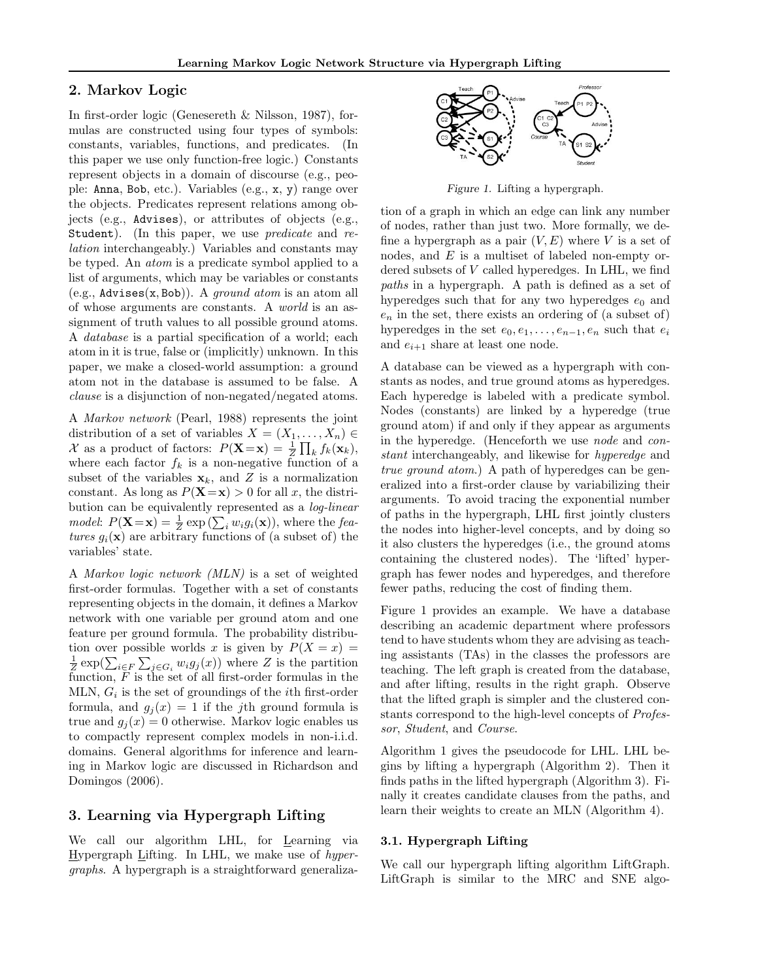# 2. Markov Logic

In first-order logic (Genesereth & Nilsson, 1987), formulas are constructed using four types of symbols: constants, variables, functions, and predicates. (In this paper we use only function-free logic.) Constants represent objects in a domain of discourse (e.g., people: Anna, Bob, etc.). Variables (e.g., x, y) range over the objects. Predicates represent relations among objects (e.g., Advises), or attributes of objects (e.g., Student). (In this paper, we use *predicate* and *re*lation interchangeably.) Variables and constants may be typed. An atom is a predicate symbol applied to a list of arguments, which may be variables or constants (e.g.,  $Advises(x, Bob)$ ). A ground atom is an atom all of whose arguments are constants. A world is an assignment of truth values to all possible ground atoms. A database is a partial specification of a world; each atom in it is true, false or (implicitly) unknown. In this paper, we make a closed-world assumption: a ground atom not in the database is assumed to be false. A clause is a disjunction of non-negated/negated atoms.

A Markov network (Pearl, 1988) represents the joint distribution of a set of variables  $X = (X_1, \ldots, X_n) \in$ X as a product of factors:  $P(\mathbf{X} = \mathbf{x}) = \frac{1}{Z} \prod_k f_k(\mathbf{x}_k),$ where each factor  $f_k$  is a non-negative function of a subset of the variables  $x_k$ , and Z is a normalization constant. As long as  $P(X=x) > 0$  for all x, the distribution can be equivalently represented as a log-linear model:  $P(\mathbf{X} = \mathbf{x}) = \frac{1}{Z} \exp(\sum_i w_i g_i(\mathbf{x}))$ , where the features  $g_i(\mathbf{x})$  are arbitrary functions of (a subset of) the variables' state.

A Markov logic network (MLN) is a set of weighted first-order formulas. Together with a set of constants representing objects in the domain, it defines a Markov network with one variable per ground atom and one feature per ground formula. The probability distribution over possible worlds x is given by  $P(X = x) =$  $\frac{1}{Z} \exp(\sum_{i \in F} \sum_{j \in G_i} w_i g_j(x))$  where Z is the partition function,  $\overline{F}$  is the set of all first-order formulas in the MLN,  $G_i$  is the set of groundings of the *i*<sup>th</sup> first-order formula, and  $g_i(x) = 1$  if the jth ground formula is true and  $g_i(x) = 0$  otherwise. Markov logic enables us to compactly represent complex models in non-i.i.d. domains. General algorithms for inference and learning in Markov logic are discussed in Richardson and Domingos (2006).

# 3. Learning via Hypergraph Lifting

We call our algorithm LHL, for Learning via Hypergraph Lifting. In LHL, we make use of hypergraphs. A hypergraph is a straightforward generaliza-



Figure 1. Lifting a hypergraph.

tion of a graph in which an edge can link any number of nodes, rather than just two. More formally, we define a hypergraph as a pair  $(V, E)$  where V is a set of nodes, and E is a multiset of labeled non-empty ordered subsets of V called hyperedges. In LHL, we find paths in a hypergraph. A path is defined as a set of hyperedges such that for any two hyperedges  $e_0$  and  $e_n$  in the set, there exists an ordering of (a subset of) hyperedges in the set  $e_0, e_1, \ldots, e_{n-1}, e_n$  such that  $e_i$ and  $e_{i+1}$  share at least one node.

A database can be viewed as a hypergraph with constants as nodes, and true ground atoms as hyperedges. Each hyperedge is labeled with a predicate symbol. Nodes (constants) are linked by a hyperedge (true ground atom) if and only if they appear as arguments in the hyperedge. (Henceforth we use node and constant interchangeably, and likewise for hyperedge and true ground atom.) A path of hyperedges can be generalized into a first-order clause by variabilizing their arguments. To avoid tracing the exponential number of paths in the hypergraph, LHL first jointly clusters the nodes into higher-level concepts, and by doing so it also clusters the hyperedges (i.e., the ground atoms containing the clustered nodes). The 'lifted' hypergraph has fewer nodes and hyperedges, and therefore fewer paths, reducing the cost of finding them.

Figure 1 provides an example. We have a database describing an academic department where professors tend to have students whom they are advising as teaching assistants (TAs) in the classes the professors are teaching. The left graph is created from the database, and after lifting, results in the right graph. Observe that the lifted graph is simpler and the clustered constants correspond to the high-level concepts of Professor, Student, and Course.

Algorithm 1 gives the pseudocode for LHL. LHL begins by lifting a hypergraph (Algorithm 2). Then it finds paths in the lifted hypergraph (Algorithm 3). Finally it creates candidate clauses from the paths, and learn their weights to create an MLN (Algorithm 4).

### 3.1. Hypergraph Lifting

We call our hypergraph lifting algorithm LiftGraph. LiftGraph is similar to the MRC and SNE algo-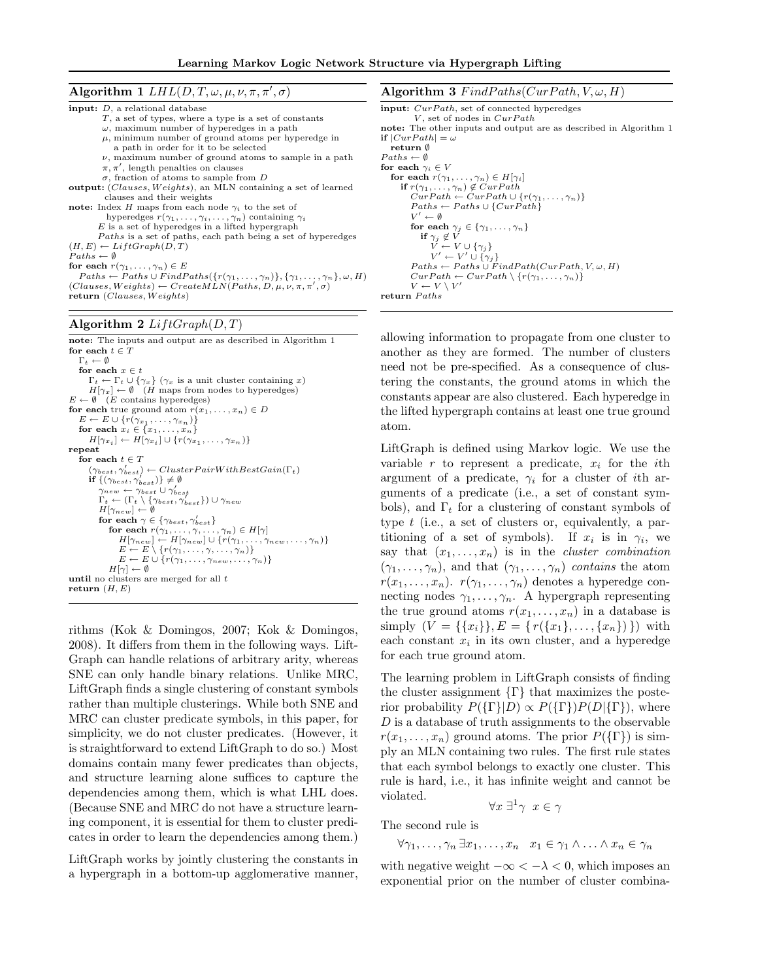| Algorithm 1 $LHL(D,T,\omega,\mu,\nu,\pi,\pi',\sigma)$                                                                                                                                                                                                                                                                                                                                                                                                                                                                                                                                                                                                                                                                                                                                                                                                                                                                                                                                                                                                                                                                                                            | Algorithm 3 $FindPaths(CurPath, V, \omega, H)$                                                                                                                                                                                                                                                                                                                                                                                                                                                                                                                                                                                                                                                                                                                                                                                                                                                                       |
|------------------------------------------------------------------------------------------------------------------------------------------------------------------------------------------------------------------------------------------------------------------------------------------------------------------------------------------------------------------------------------------------------------------------------------------------------------------------------------------------------------------------------------------------------------------------------------------------------------------------------------------------------------------------------------------------------------------------------------------------------------------------------------------------------------------------------------------------------------------------------------------------------------------------------------------------------------------------------------------------------------------------------------------------------------------------------------------------------------------------------------------------------------------|----------------------------------------------------------------------------------------------------------------------------------------------------------------------------------------------------------------------------------------------------------------------------------------------------------------------------------------------------------------------------------------------------------------------------------------------------------------------------------------------------------------------------------------------------------------------------------------------------------------------------------------------------------------------------------------------------------------------------------------------------------------------------------------------------------------------------------------------------------------------------------------------------------------------|
| <b>input:</b> $D$ , a relational database<br>$T$ , a set of types, where a type is a set of constants<br>$\omega$ , maximum number of hyperedges in a path<br>$\mu$ , minimum number of ground atoms per hyperedge in<br>a path in order for it to be selected<br>$\nu$ , maximum number of ground atoms to sample in a path<br>$\pi, \pi'$ , length penalties on clauses<br>$\sigma$ , fraction of atoms to sample from D<br><b>output:</b> (Clauses, Weights), an MLN containing a set of learned<br>clauses and their weights<br>note: Index H maps from each node $\gamma_i$ to the set of<br>hyperedges $r(\gamma_1, \ldots, \gamma_i, \ldots, \gamma_n)$ containing $\gamma_i$<br>$E$ is a set of hyperedges in a lifted hypergraph<br><i>Paths</i> is a set of paths, each path being a set of hyperedges<br>$(H, E) \leftarrow LiftGraph(D, T)$<br>$Paths \leftarrow \emptyset$<br>for each $r(\gamma_1,\ldots,\gamma_n)\in E$<br>$Paths \leftarrow Paths \cup FindPaths({r(\gamma_1, , \gamma_n)}, {\gamma_1, , \gamma_n}, \omega, H)$<br>$(Clauses, Weights) \leftarrow CreateMLN(Paths, D, \mu, \nu, \pi, \pi', \sigma)$<br>return (Classes, Weights) | <b>input:</b> CurPath, set of connected hyperedges<br>$V$ , set of nodes in $CurPath$<br>note: The other inputs and output are as described in Algorithm 1<br>if $ CurPath  = \omega$<br>$return \emptyset$<br>$Paths \leftarrow \emptyset$<br>for each $\gamma_i \in V$<br>for each $r(\gamma_1,\ldots,\gamma_n) \in H[\gamma_i]$<br><b>if</b> $r(\gamma_1, \ldots, \gamma_n) \notin CurPath$<br>$CurPath \leftarrow CurPath \cup \{r(\gamma_1,\ldots,\gamma_n)\}\$<br>$Paths \leftarrow Paths \cup \{CurPath\}$<br>$V' \leftarrow \emptyset$<br>for each $\gamma_i \in \{\gamma_1, \ldots, \gamma_n\}$<br>if $\gamma_i \notin V$<br>$\overline{V} \leftarrow V \cup {\gamma_i}$<br>$V' \leftarrow V' \cup {\gamma_i}$<br>$Paths \leftarrow Paths \cup FindPath(CurPath, V, \omega, H)$<br>$CurPath \leftarrow CurPath \setminus \{r(\gamma_1,\ldots,\gamma_n)\}\$<br>$V \leftarrow V \setminus V'$<br>return Paths |
| $\cdots$<br>$\alpha$ rigin $\alpha$ is $\alpha$<br>$\cdots$                                                                                                                                                                                                                                                                                                                                                                                                                                                                                                                                                                                                                                                                                                                                                                                                                                                                                                                                                                                                                                                                                                      |                                                                                                                                                                                                                                                                                                                                                                                                                                                                                                                                                                                                                                                                                                                                                                                                                                                                                                                      |

allowing information to propagate from one cluster to another as they are formed. The number of clusters need not be pre-specified. As a consequence of clustering the constants, the ground atoms in which the constants appear are also clustered. Each hyperedge in the lifted hypergraph contains at least one true ground atom.

LiftGraph is defined using Markov logic. We use the variable r to represent a predicate,  $x_i$  for the *i*th argument of a predicate,  $\gamma_i$  for a cluster of ith arguments of a predicate (i.e., a set of constant symbols), and  $\Gamma_t$  for a clustering of constant symbols of type  $t$  (i.e., a set of clusters or, equivalently, a partitioning of a set of symbols). If  $x_i$  is in  $\gamma_i$ , we say that  $(x_1, \ldots, x_n)$  is in the *cluster combination*  $(\gamma_1, \ldots, \gamma_n)$ , and that  $(\gamma_1, \ldots, \gamma_n)$  contains the atom  $r(x_1, \ldots, x_n)$ .  $r(\gamma_1, \ldots, \gamma_n)$  denotes a hyperedge connecting nodes  $\gamma_1, \ldots, \gamma_n$ . A hypergraph representing the true ground atoms  $r(x_1, \ldots, x_n)$  in a database is simply  $(V = \{\{x_i\}\}, E = \{r(\{x_1\}, \ldots, \{x_n\})\})$  with each constant  $x_i$  in its own cluster, and a hyperedge for each true ground atom.

The learning problem in LiftGraph consists of finding the cluster assignment  $\{\Gamma\}$  that maximizes the posterior probability  $P({\{\Gamma\}}|D) \propto P({\{\Gamma\}})P(D|{\{\Gamma\}})$ , where  $D$  is a database of truth assignments to the observable  $r(x_1, \ldots, x_n)$  ground atoms. The prior  $P({\{\Gamma\}})$  is simply an MLN containing two rules. The first rule states that each symbol belongs to exactly one cluster. This rule is hard, i.e., it has infinite weight and cannot be violated.

$$
\forall x \; \exists^1 \gamma \; x \in \gamma
$$

The second rule is

 $\forall \gamma_1, \ldots, \gamma_n \exists x_1, \ldots, x_n \quad x_1 \in \gamma_1 \land \ldots \land x_n \in \gamma_n$ 

with negative weight  $-\infty < -\lambda < 0$ , which imposes an exponential prior on the number of cluster combina-

Algorithm 2  $LiftGraph(D, T)$ note: The inputs and output are as described in Algorithm 1 for each  $t \in T$ 

 $\Gamma_t \leftarrow \emptyset$ for each  $x \in t$  $\Gamma_t \leftarrow \Gamma_t \cup \{\gamma_x\}$   $(\gamma_x \text{ is a unit cluster containing } x)$ <br>  $H[\gamma_x] \leftarrow \emptyset$  (*H* maps from nodes to hyperedges)  $E \leftarrow \emptyset$  (E contains hyperedges) for each true ground atom  $r(x_1, \ldots, x_n) \in D$  $E \leftarrow E \cup \{r(\gamma_{x_1}, \ldots, \gamma_{x_n})\}$ <br>for each  $x_i \in \{x_1, \ldots, x_n\}$  $H[\gamma_{x_i}] \leftarrow H[\gamma_{x_i}] \cup \{r(\gamma_{x_1}, \ldots, \gamma_{x_n})\}$ repeat for each  $t \in T$  $(\gamma_{best}, \gamma_{best}') \leftarrow ClusterPairWithBestGain(\Gamma_t)$ if  $\{(\gamma_{best}, \gamma_{best}')\}\neq \emptyset$  $\gamma_{new} \leftarrow \gamma_{best} \cup \gamma'_{best}$ <br>  $\Gamma_t \leftarrow (\Gamma_t \setminus \{\gamma_{best}, \gamma'_{best}\}) \cup \gamma_{new}$ <br>  $H[\gamma_{new}] \leftarrow \emptyset$ for each  $\gamma \in \{\gamma_{best}, \gamma_{best}'\}$ for each  $r(\gamma_1, \ldots, \gamma, \ldots, \gamma_n) \in H[\gamma]$ <br>  $H[\gamma_{new}] \leftarrow H[\gamma_{new}] \cup \{r(\gamma_1, \ldots, \gamma_{new}, \ldots, \gamma_n)\}$ <br>  $E \leftarrow E \cup \{r(\gamma_1, \ldots, \gamma_{new}, \ldots, \gamma_n)\}$  $H[\gamma] \leftarrow \emptyset$ until no clusters are merged for all  $t$ return  $(H, E)$ 

rithms (Kok & Domingos, 2007; Kok & Domingos, 2008). It differs from them in the following ways. Lift-Graph can handle relations of arbitrary arity, whereas SNE can only handle binary relations. Unlike MRC, LiftGraph finds a single clustering of constant symbols rather than multiple clusterings. While both SNE and MRC can cluster predicate symbols, in this paper, for simplicity, we do not cluster predicates. (However, it is straightforward to extend LiftGraph to do so.) Most domains contain many fewer predicates than objects, and structure learning alone suffices to capture the dependencies among them, which is what LHL does. (Because SNE and MRC do not have a structure learning component, it is essential for them to cluster predicates in order to learn the dependencies among them.)

LiftGraph works by jointly clustering the constants in a hypergraph in a bottom-up agglomerative manner,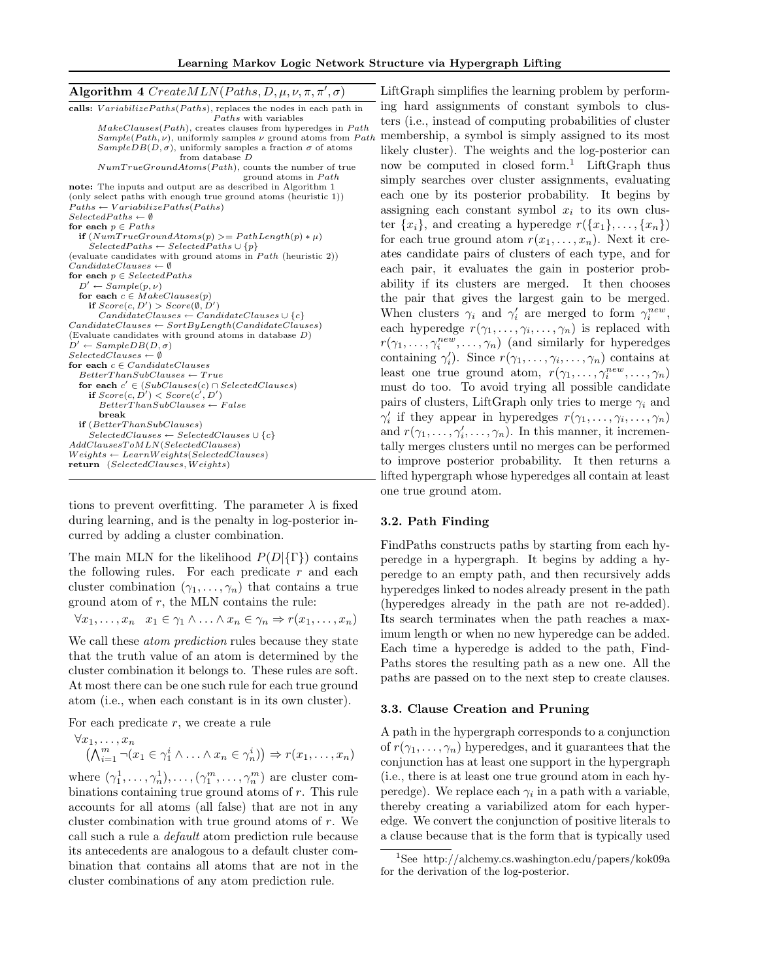| calls: $Variable Paths (Paths)$ , replaces the nodes in each path in<br><i>Paths</i> with variables |
|-----------------------------------------------------------------------------------------------------|
|                                                                                                     |
| $MakeClasses (Path)$ , creates clauses from hyperedges in Path                                      |
| $Sample(Path, \nu)$ , uniformly samples $\nu$ ground atoms from Path                                |
| $SampleDB(D, \sigma)$ , uniformly samples a fraction $\sigma$ of atoms                              |
| from database $D$                                                                                   |
| $NumTrueGroundAtoms(Path)$ , counts the number of true                                              |
| ground atoms in $Path$                                                                              |
| note: The inputs and output are as described in Algorithm 1                                         |
| (only select paths with enough true ground atoms (heuristic 1))                                     |
| $Paths \leftarrow VariablePaths(Paths)$                                                             |
| $SelectedPaths \leftarrow \emptyset$                                                                |
| for each $p \in Paths$                                                                              |
| <b>if</b> $(NumTrueGroundAtoms(p) >= PathLength(p) * \mu)$                                          |
| $SelectedPaths \leftarrow SelectedPaths \cup \{p\}$                                                 |
| (evaluate candidates with ground atoms in Path (heuristic 2))                                       |
| $CandidateClauses \leftarrow \emptyset$                                                             |
| for each $p \in SelectedPaths$                                                                      |
| $D' \leftarrow Sample(p, \nu)$                                                                      |
| for each $c \in MakeClauses(p)$                                                                     |
| if $Score(c, D') > Score(\emptyset, D')$                                                            |
| $CandidateClasses \leftarrow CandidateClasses \cup \{c\}$                                           |
| $CandidateClasses \leftarrow SortByLength(CandidateClasses)$                                        |
| (Evaluate candidates with ground atoms in database $D$ )                                            |
| $D' \leftarrow SampleDB(D, \sigma)$                                                                 |
| $SelectedClasses \leftarrow \emptyset$                                                              |
| for each $c \in CandidateClasses$                                                                   |
| $Better ThanSubClauses \leftarrow True$                                                             |
| for each $c' \in (SubClasses(c) \cap SelectedClasses)$                                              |
| if $Score(c, D') < Score(c', D')$<br>$Better ThanSubClauses \leftarrow False$                       |
| break                                                                                               |
| if (Better ThanSubClauses)                                                                          |
| $SelectedClasses \leftarrow SelectedClasses \cup \{c\}$                                             |
| AddClassesToMLN(Selected Clauses)                                                                   |
| $Weights \leftarrow LearnWeights (Selected Clauses)$                                                |
| return (SelectedClauses, Weights)                                                                   |
|                                                                                                     |

tions to prevent overfitting. The parameter  $\lambda$  is fixed during learning, and is the penalty in log-posterior incurred by adding a cluster combination.

The main MLN for the likelihood  $P(D|\{\Gamma\})$  contains the following rules. For each predicate  $r$  and each cluster combination  $(\gamma_1, \ldots, \gamma_n)$  that contains a true ground atom of  $r$ , the MLN contains the rule:

$$
\forall x_1, \ldots, x_n \quad x_1 \in \gamma_1 \land \ldots \land x_n \in \gamma_n \Rightarrow r(x_1, \ldots, x_n)
$$

We call these *atom prediction* rules because they state that the truth value of an atom is determined by the cluster combination it belongs to. These rules are soft. At most there can be one such rule for each true ground atom (i.e., when each constant is in its own cluster).

For each predicate  $r$ , we create a rule

$$
\forall x_1, \dots, x_n
$$
  

$$
(\bigwedge_{i=1}^m \neg(x_1 \in \gamma_1^i \land \dots \land x_n \in \gamma_n^i)) \Rightarrow r(x_1, \dots, x_n)
$$

where  $(\gamma_1^1, \ldots, \gamma_n^1), \ldots, (\gamma_1^m, \ldots, \gamma_n^m)$  are cluster combinations containing true ground atoms of r. This rule accounts for all atoms (all false) that are not in any cluster combination with true ground atoms of  $r$ . We call such a rule a default atom prediction rule because its antecedents are analogous to a default cluster combination that contains all atoms that are not in the cluster combinations of any atom prediction rule.

LiftGraph simplifies the learning problem by performing hard assignments of constant symbols to clusters (i.e., instead of computing probabilities of cluster  $n<sub>th</sub>$  membership, a symbol is simply assigned to its most likely cluster). The weights and the log-posterior can now be computed in closed form.<sup>1</sup> LiftGraph thus simply searches over cluster assignments, evaluating each one by its posterior probability. It begins by assigning each constant symbol  $x_i$  to its own cluster  $\{x_i\}$ , and creating a hyperedge  $r(\{x_1\},\ldots,\{x_n\})$ for each true ground atom  $r(x_1, \ldots, x_n)$ . Next it creates candidate pairs of clusters of each type, and for each pair, it evaluates the gain in posterior probability if its clusters are merged. It then chooses the pair that gives the largest gain to be merged. When clusters  $\gamma_i$  and  $\gamma'_i$  are merged to form  $\gamma_i^{new}$ , each hyperedge  $r(\gamma_1, \ldots, \gamma_i, \ldots, \gamma_n)$  is replaced with  $r(\gamma_1,\ldots,\gamma_i^{new},\ldots,\gamma_n)$  (and similarly for hyperedges containing  $\gamma'_i$ ). Since  $r(\gamma_1, \ldots, \gamma_i, \ldots, \gamma_n)$  contains at least one true ground atom,  $r(\gamma_1, \ldots, \gamma_i^{new}, \ldots, \gamma_n)$ must do too. To avoid trying all possible candidate pairs of clusters, LiftGraph only tries to merge  $\gamma_i$  and  $\gamma'_i$  if they appear in hyperedges  $r(\gamma_1, \ldots, \gamma_i, \ldots, \gamma_n)$ and  $r(\gamma_1, \ldots, \gamma'_i, \ldots, \gamma_n)$ . In this manner, it incrementally merges clusters until no merges can be performed to improve posterior probability. It then returns a lifted hypergraph whose hyperedges all contain at least one true ground atom.

#### 3.2. Path Finding

FindPaths constructs paths by starting from each hyperedge in a hypergraph. It begins by adding a hyperedge to an empty path, and then recursively adds hyperedges linked to nodes already present in the path (hyperedges already in the path are not re-added). Its search terminates when the path reaches a maximum length or when no new hyperedge can be added. Each time a hyperedge is added to the path, Find-Paths stores the resulting path as a new one. All the paths are passed on to the next step to create clauses.

#### 3.3. Clause Creation and Pruning

A path in the hypergraph corresponds to a conjunction of  $r(\gamma_1, \ldots, \gamma_n)$  hyperedges, and it guarantees that the conjunction has at least one support in the hypergraph (i.e., there is at least one true ground atom in each hyperedge). We replace each  $\gamma_i$  in a path with a variable, thereby creating a variabilized atom for each hyperedge. We convert the conjunction of positive literals to a clause because that is the form that is typically used

<sup>1</sup>See http://alchemy.cs.washington.edu/papers/kok09a for the derivation of the log-posterior.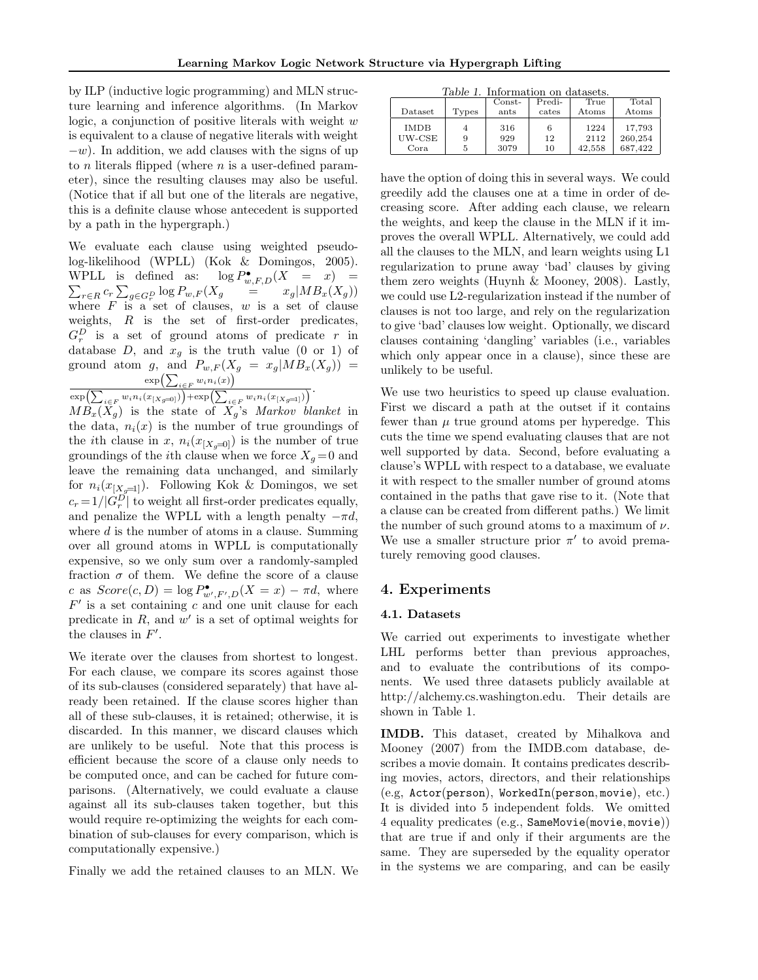by ILP (inductive logic programming) and MLN structure learning and inference algorithms. (In Markov logic, a conjunction of positive literals with weight  $w$ is equivalent to a clause of negative literals with weight  $-w$ ). In addition, we add clauses with the signs of up to n literals flipped (where  $n$  is a user-defined parameter), since the resulting clauses may also be useful. (Notice that if all but one of the literals are negative, this is a definite clause whose antecedent is supported by a path in the hypergraph.)

We evaluate each clause using weighted pseudolog-likelihood (WPLL) (Kok & Domingos, 2005). WPLL is defined as:  $\mathcal{C}_{w,F,D}^{\bullet}(X = x) =$  $\sum_{r \in R} c_r \sum_{g \in G_r^D} \log P_{w,F}(X_g = x_g | MB_x(X_g))$ where  $F$  is a set of clauses,  $w$  is a set of clause weights, R is the set of first-order predicates,  $G_r^D$  is a set of ground atoms of predicate r in database  $D$ , and  $x_g$  is the truth value (0 or 1) of ground atom g, and  $P_{w,F}(X_g = x_g | MB_x(X_g)) =$  $\exp\left(\sum_{i \in F} w_i n_i(x)\right)$ 

 $\frac{\exp\left(\sum_{i\in F} w_i n_i(\omega)\right)}{\exp\left(\sum_{i\in F} w_i n_i(x_{[Xg=0]})\right) + \exp\left(\sum_{i\in F} w_i n_i(x_{[Xg=1]})\right)}.$ 

 $MB_x(X_g)$  is the state of  $X_g$ 's Markov blanket in the data,  $n_i(x)$  is the number of true groundings of the *i*th clause in x,  $n_i(x_{[X_q=0]})$  is the number of true groundings of the *i*th clause when we force  $X_q = 0$  and leave the remaining data unchanged, and similarly for  $n_i(x_{[X_a=1]})$ . Following Kok & Domingos, we set  $c_r = 1/|G_r^D|$  to weight all first-order predicates equally, and penalize the WPLL with a length penalty  $-\pi d$ , where  $d$  is the number of atoms in a clause. Summing over all ground atoms in WPLL is computationally expensive, so we only sum over a randomly-sampled fraction  $\sigma$  of them. We define the score of a clause c as  $Score(c, D) = log P_{w', F', D}^{\bullet}(X = x) - \pi d$ , where  $F'$  is a set containing c and one unit clause for each predicate in  $R$ , and  $w'$  is a set of optimal weights for the clauses in  $F'$ .

We iterate over the clauses from shortest to longest. For each clause, we compare its scores against those of its sub-clauses (considered separately) that have already been retained. If the clause scores higher than all of these sub-clauses, it is retained; otherwise, it is discarded. In this manner, we discard clauses which are unlikely to be useful. Note that this process is efficient because the score of a clause only needs to be computed once, and can be cached for future comparisons. (Alternatively, we could evaluate a clause against all its sub-clauses taken together, but this would require re-optimizing the weights for each combination of sub-clauses for every comparison, which is computationally expensive.)

Finally we add the retained clauses to an MLN. We

| Table 1. Information on datasets. |  |
|-----------------------------------|--|
|                                   |  |

| <i>Lable 1.</i> Information on Gatasets. |        |                    |               |                        |                              |  |
|------------------------------------------|--------|--------------------|---------------|------------------------|------------------------------|--|
|                                          |        | $Const-$           | Predi-        | True                   | Total                        |  |
| Dataset                                  | Types  | ants               | cates         | $_{\rm Atoms}$         | Atoms                        |  |
| <b>IMDB</b><br>UW-CSE<br>Cora            | 4<br>5 | 316<br>929<br>3079 | 6<br>12<br>10 | 1224<br>2112<br>42.558 | 17.793<br>260.254<br>687.422 |  |

have the option of doing this in several ways. We could greedily add the clauses one at a time in order of decreasing score. After adding each clause, we relearn the weights, and keep the clause in the MLN if it improves the overall WPLL. Alternatively, we could add all the clauses to the MLN, and learn weights using L1 regularization to prune away 'bad' clauses by giving them zero weights (Huynh & Mooney, 2008). Lastly, we could use L2-regularization instead if the number of clauses is not too large, and rely on the regularization to give 'bad' clauses low weight. Optionally, we discard clauses containing 'dangling' variables (i.e., variables which only appear once in a clause), since these are unlikely to be useful.

We use two heuristics to speed up clause evaluation. First we discard a path at the outset if it contains fewer than  $\mu$  true ground atoms per hyperedge. This cuts the time we spend evaluating clauses that are not well supported by data. Second, before evaluating a clause's WPLL with respect to a database, we evaluate it with respect to the smaller number of ground atoms contained in the paths that gave rise to it. (Note that a clause can be created from different paths.) We limit the number of such ground atoms to a maximum of  $\nu$ . We use a smaller structure prior  $\pi'$  to avoid prematurely removing good clauses.

#### 4. Experiments

#### 4.1. Datasets

We carried out experiments to investigate whether LHL performs better than previous approaches, and to evaluate the contributions of its components. We used three datasets publicly available at http://alchemy.cs.washington.edu. Their details are shown in Table 1.

IMDB. This dataset, created by Mihalkova and Mooney (2007) from the IMDB.com database, describes a movie domain. It contains predicates describing movies, actors, directors, and their relationships (e.g, Actor(person), WorkedIn(person, movie), etc.) It is divided into 5 independent folds. We omitted 4 equality predicates (e.g., SameMovie(movie, movie)) that are true if and only if their arguments are the same. They are superseded by the equality operator in the systems we are comparing, and can be easily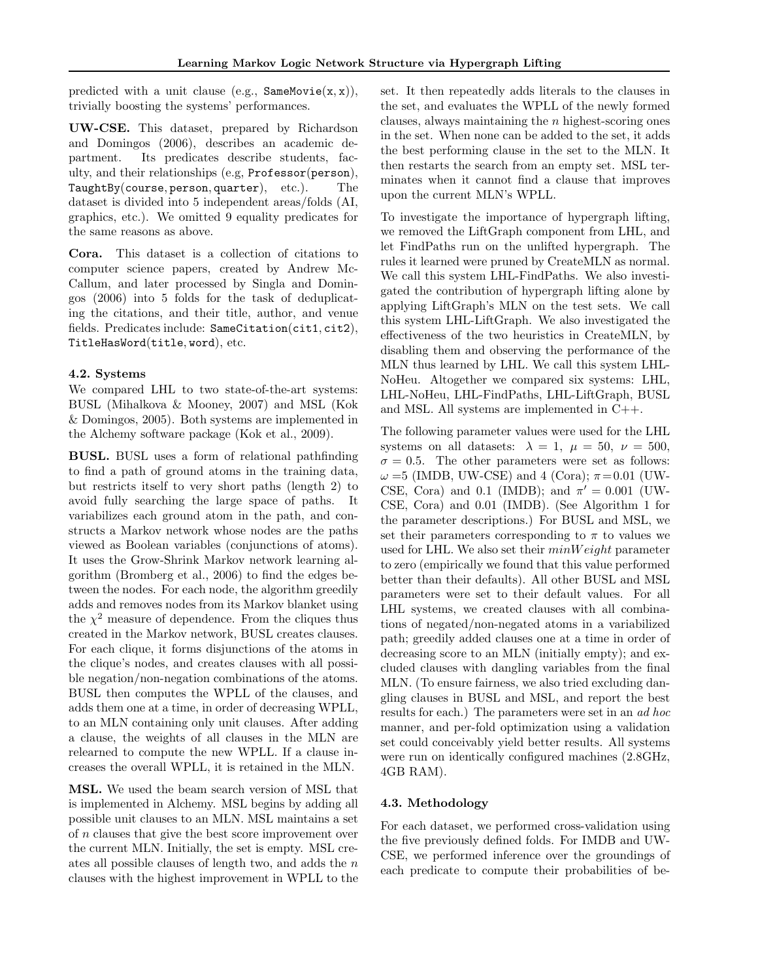predicted with a unit clause (e.g.,  $SameMovie(x, x)$ ), trivially boosting the systems' performances.

UW-CSE. This dataset, prepared by Richardson and Domingos (2006), describes an academic department. Its predicates describe students, faculty, and their relationships (e.g, Professor(person), TaughtBy(course, person, quarter), etc.). The dataset is divided into 5 independent areas/folds (AI, graphics, etc.). We omitted 9 equality predicates for the same reasons as above.

Cora. This dataset is a collection of citations to computer science papers, created by Andrew Mc-Callum, and later processed by Singla and Domingos (2006) into 5 folds for the task of deduplicating the citations, and their title, author, and venue fields. Predicates include: SameCitation(cit1, cit2), TitleHasWord(title, word), etc.

#### 4.2. Systems

We compared LHL to two state-of-the-art systems: BUSL (Mihalkova & Mooney, 2007) and MSL (Kok & Domingos, 2005). Both systems are implemented in the Alchemy software package (Kok et al., 2009).

BUSL. BUSL uses a form of relational pathfinding to find a path of ground atoms in the training data, but restricts itself to very short paths (length 2) to avoid fully searching the large space of paths. It variabilizes each ground atom in the path, and constructs a Markov network whose nodes are the paths viewed as Boolean variables (conjunctions of atoms). It uses the Grow-Shrink Markov network learning algorithm (Bromberg et al., 2006) to find the edges between the nodes. For each node, the algorithm greedily adds and removes nodes from its Markov blanket using the  $\chi^2$  measure of dependence. From the cliques thus created in the Markov network, BUSL creates clauses. For each clique, it forms disjunctions of the atoms in the clique's nodes, and creates clauses with all possible negation/non-negation combinations of the atoms. BUSL then computes the WPLL of the clauses, and adds them one at a time, in order of decreasing WPLL, to an MLN containing only unit clauses. After adding a clause, the weights of all clauses in the MLN are relearned to compute the new WPLL. If a clause increases the overall WPLL, it is retained in the MLN.

MSL. We used the beam search version of MSL that is implemented in Alchemy. MSL begins by adding all possible unit clauses to an MLN. MSL maintains a set of  $n$  clauses that give the best score improvement over the current MLN. Initially, the set is empty. MSL creates all possible clauses of length two, and adds the n clauses with the highest improvement in WPLL to the set. It then repeatedly adds literals to the clauses in the set, and evaluates the WPLL of the newly formed clauses, always maintaining the  $n$  highest-scoring ones in the set. When none can be added to the set, it adds the best performing clause in the set to the MLN. It then restarts the search from an empty set. MSL terminates when it cannot find a clause that improves upon the current MLN's WPLL.

To investigate the importance of hypergraph lifting, we removed the LiftGraph component from LHL, and let FindPaths run on the unlifted hypergraph. The rules it learned were pruned by CreateMLN as normal. We call this system LHL-FindPaths. We also investigated the contribution of hypergraph lifting alone by applying LiftGraph's MLN on the test sets. We call this system LHL-LiftGraph. We also investigated the effectiveness of the two heuristics in CreateMLN, by disabling them and observing the performance of the MLN thus learned by LHL. We call this system LHL-NoHeu. Altogether we compared six systems: LHL, LHL-NoHeu, LHL-FindPaths, LHL-LiftGraph, BUSL and MSL. All systems are implemented in C++.

The following parameter values were used for the LHL systems on all datasets:  $\lambda = 1$ ,  $\mu = 50$ ,  $\nu = 500$ ,  $\sigma = 0.5$ . The other parameters were set as follows:  $\omega = 5$  (IMDB, UW-CSE) and 4 (Cora);  $\pi = 0.01$  (UW-CSE, Cora) and 0.1 (IMDB); and  $\pi' = 0.001$  (UW-CSE, Cora) and 0.01 (IMDB). (See Algorithm 1 for the parameter descriptions.) For BUSL and MSL, we set their parameters corresponding to  $\pi$  to values we used for LHL. We also set their  $minWeight$  parameter to zero (empirically we found that this value performed better than their defaults). All other BUSL and MSL parameters were set to their default values. For all LHL systems, we created clauses with all combinations of negated/non-negated atoms in a variabilized path; greedily added clauses one at a time in order of decreasing score to an MLN (initially empty); and excluded clauses with dangling variables from the final MLN. (To ensure fairness, we also tried excluding dangling clauses in BUSL and MSL, and report the best results for each.) The parameters were set in an ad hoc manner, and per-fold optimization using a validation set could conceivably yield better results. All systems were run on identically configured machines (2.8GHz, 4GB RAM).

#### 4.3. Methodology

For each dataset, we performed cross-validation using the five previously defined folds. For IMDB and UW-CSE, we performed inference over the groundings of each predicate to compute their probabilities of be-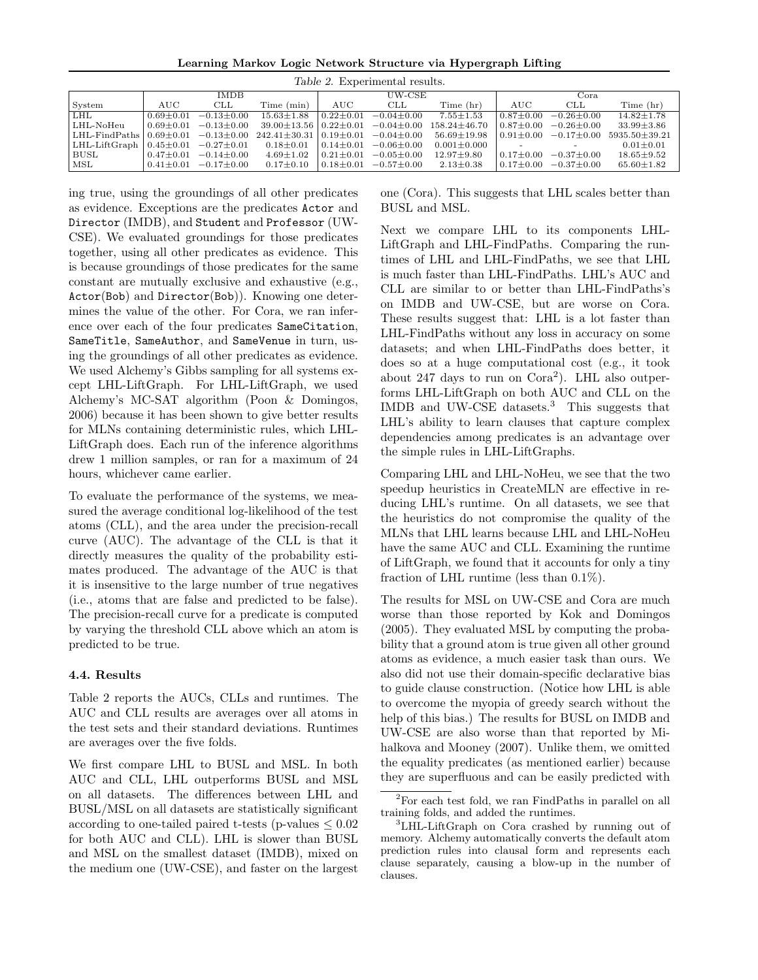Learning Markov Logic Network Structure via Hypergraph Lifting

| <i>Table 2.</i> Experimental results. |                 |                  |                                                            |                 |                                   |                                                                                       |                          |                                  |                     |
|---------------------------------------|-----------------|------------------|------------------------------------------------------------|-----------------|-----------------------------------|---------------------------------------------------------------------------------------|--------------------------|----------------------------------|---------------------|
|                                       | <b>IMDB</b>     |                  |                                                            | UW-CSE          |                                   |                                                                                       | Cora                     |                                  |                     |
| System                                | AUC             | <b>CLL</b>       | Time (min)                                                 | $\rm AUC$       | CLL                               | Time (hr)                                                                             | AUC                      | <b>CLL</b>                       | Time (hr)           |
| LHL                                   | $0.69 + 0.01$   | $-0.13 \pm 0.00$ | $15.63 \pm 1.88$                                           | $0.22 + 0.01$   | $-0.04 \pm 0.00$                  | $7.55 \pm 1.53$                                                                       | $0.87 + 0.00$            | $-0.26 \pm 0.00$                 | $14.82 \pm 1.78$    |
| LHL-NoHeu                             | $0.69 + 0.01$   | $-0.13 \pm 0.00$ |                                                            |                 |                                   | $39.00 \pm 13.56$ $\vert$ 0.22 $\pm$ 0.01 $\vert$ -0.04 $\pm$ 0.00 158.24 $\pm$ 46.70 | $0.87 \pm 0.00$          | $-0.26 \pm 0.00$                 | $33.99 \pm 3.86$    |
| LHL-FindPaths $0.69 \pm 0.01$         |                 | $-0.13 \pm 0.00$ | $242.41 \pm 30.31 \mid 0.19 \pm 0.01 \quad -0.04 \pm 0.00$ |                 |                                   | $56.69 \pm 19.98$                                                                     |                          | $0.91 \pm 0.00$ $-0.17 \pm 0.00$ | $5935.50 \pm 39.21$ |
| $LHL-LiftGraph$                       | $0.45 \pm 0.01$ | $-0.27 \pm 0.01$ | $0.18 \pm 0.01$                                            |                 | $ 0.14 \pm 0.01 - 0.06 \pm 0.00 $ | $0.001 \pm 0.000$                                                                     | $\overline{\phantom{a}}$ |                                  | $0.01 \pm 0.01$     |
| BUSL                                  | $0.47 \pm 0.01$ | $-0.14 \pm 0.00$ | $4.69 \pm 1.02$                                            | $0.21 \pm 0.01$ | $-0.05 \pm 0.00$                  | $12.97 \pm 9.80$                                                                      | $0.17 + 0.00$            | $-0.37 \pm 0.00$                 | $18.65 \pm 9.52$    |
| $\operatorname{MSL}$                  | $0.41 \pm 0.01$ | $-0.17 \pm 0.00$ | $0.17 \pm 0.10$                                            |                 | $0.18 \pm 0.01$ $-0.57 \pm 0.00$  | $2.13 \pm 0.38$                                                                       | $0.17 \pm 0.00$          | $-0.37 \pm 0.00$                 | $65.60 \pm 1.82$    |

ing true, using the groundings of all other predicates as evidence. Exceptions are the predicates Actor and Director (IMDB), and Student and Professor (UW-CSE). We evaluated groundings for those predicates together, using all other predicates as evidence. This is because groundings of those predicates for the same constant are mutually exclusive and exhaustive (e.g., Actor(Bob) and Director(Bob)). Knowing one determines the value of the other. For Cora, we ran inference over each of the four predicates SameCitation, SameTitle, SameAuthor, and SameVenue in turn, using the groundings of all other predicates as evidence. We used Alchemy's Gibbs sampling for all systems except LHL-LiftGraph. For LHL-LiftGraph, we used Alchemy's MC-SAT algorithm (Poon & Domingos, 2006) because it has been shown to give better results for MLNs containing deterministic rules, which LHL-LiftGraph does. Each run of the inference algorithms drew 1 million samples, or ran for a maximum of 24 hours, whichever came earlier.

To evaluate the performance of the systems, we measured the average conditional log-likelihood of the test atoms (CLL), and the area under the precision-recall curve (AUC). The advantage of the CLL is that it directly measures the quality of the probability estimates produced. The advantage of the AUC is that it is insensitive to the large number of true negatives (i.e., atoms that are false and predicted to be false). The precision-recall curve for a predicate is computed by varying the threshold CLL above which an atom is predicted to be true.

#### 4.4. Results

Table 2 reports the AUCs, CLLs and runtimes. The AUC and CLL results are averages over all atoms in the test sets and their standard deviations. Runtimes are averages over the five folds.

We first compare LHL to BUSL and MSL. In both AUC and CLL, LHL outperforms BUSL and MSL on all datasets. The differences between LHL and BUSL/MSL on all datasets are statistically significant according to one-tailed paired t-tests (p-values  $\leq 0.02$ ) for both AUC and CLL). LHL is slower than BUSL and MSL on the smallest dataset (IMDB), mixed on the medium one (UW-CSE), and faster on the largest one (Cora). This suggests that LHL scales better than BUSL and MSL.

Next we compare LHL to its components LHL-LiftGraph and LHL-FindPaths. Comparing the runtimes of LHL and LHL-FindPaths, we see that LHL is much faster than LHL-FindPaths. LHL's AUC and CLL are similar to or better than LHL-FindPaths's on IMDB and UW-CSE, but are worse on Cora. These results suggest that: LHL is a lot faster than LHL-FindPaths without any loss in accuracy on some datasets; and when LHL-FindPaths does better, it does so at a huge computational cost (e.g., it took about 247 days to run on  $Cora<sup>2</sup>$ ). LHL also outperforms LHL-LiftGraph on both AUC and CLL on the IMDB and UW-CSE datasets.<sup>3</sup> This suggests that LHL's ability to learn clauses that capture complex dependencies among predicates is an advantage over the simple rules in LHL-LiftGraphs.

Comparing LHL and LHL-NoHeu, we see that the two speedup heuristics in CreateMLN are effective in reducing LHL's runtime. On all datasets, we see that the heuristics do not compromise the quality of the MLNs that LHL learns because LHL and LHL-NoHeu have the same AUC and CLL. Examining the runtime of LiftGraph, we found that it accounts for only a tiny fraction of LHL runtime (less than 0.1%).

The results for MSL on UW-CSE and Cora are much worse than those reported by Kok and Domingos (2005). They evaluated MSL by computing the probability that a ground atom is true given all other ground atoms as evidence, a much easier task than ours. We also did not use their domain-specific declarative bias to guide clause construction. (Notice how LHL is able to overcome the myopia of greedy search without the help of this bias.) The results for BUSL on IMDB and UW-CSE are also worse than that reported by Mihalkova and Mooney (2007). Unlike them, we omitted the equality predicates (as mentioned earlier) because they are superfluous and can be easily predicted with

<sup>2</sup>For each test fold, we ran FindPaths in parallel on all training folds, and added the runtimes.

<sup>3</sup>LHL-LiftGraph on Cora crashed by running out of memory. Alchemy automatically converts the default atom prediction rules into clausal form and represents each clause separately, causing a blow-up in the number of clauses.